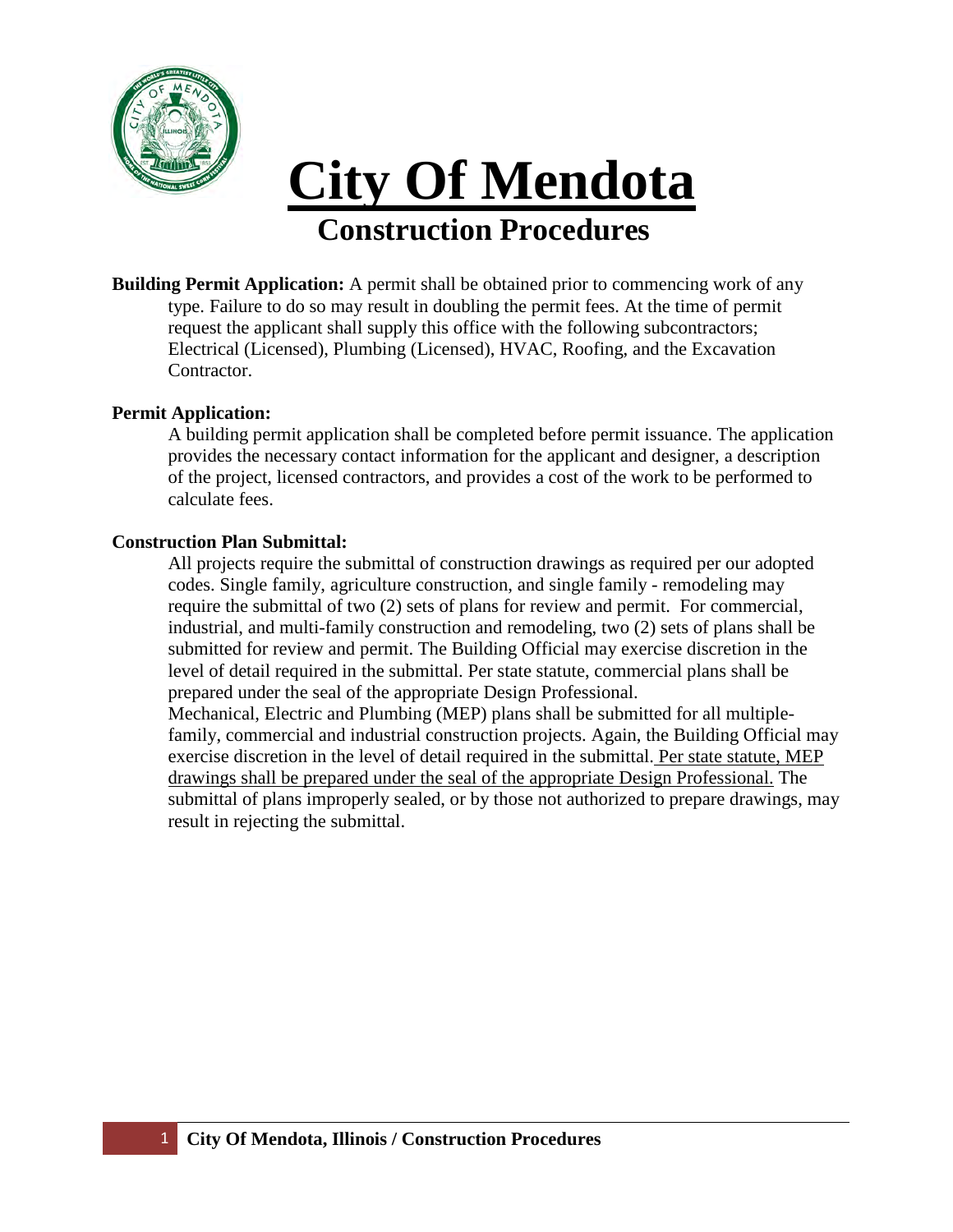

# **Construction Procedures City Of Mendota**

**Building Permit Application:** A permit shall be obtained prior to commencing work of any type. Failure to do so may result in doubling the permit fees. At the time of permit request the applicant shall supply this office with the following subcontractors; Electrical (Licensed), Plumbing (Licensed), HVAC, Roofing, and the Excavation Contractor.

## **Permit Application:**

A building permit application shall be completed before permit issuance. The application provides the necessary contact information for the applicant and designer, a description of the project, licensed contractors, and provides a cost of the work to be performed to calculate fees.

#### **Construction Plan Submittal:**

All projects require the submittal of construction drawings as required per our adopted codes. Single family, agriculture construction, and single family - remodeling may require the submittal of two (2) sets of plans for review and permit. For commercial, industrial, and multi-family construction and remodeling, two (2) sets of plans shall be submitted for review and permit. The Building Official may exercise discretion in the level of detail required in the submittal. Per state statute, commercial plans shall be prepared under the seal of the appropriate Design Professional.

Mechanical, Electric and Plumbing (MEP) plans shall be submitted for all multiplefamily, commercial and industrial construction projects. Again, the Building Official may exercise discretion in the level of detail required in the submittal. Per state statute, MEP drawings shall be prepared under the seal of the appropriate Design Professional. The submittal of plans improperly sealed, or by those not authorized to prepare drawings, may result in rejecting the submittal.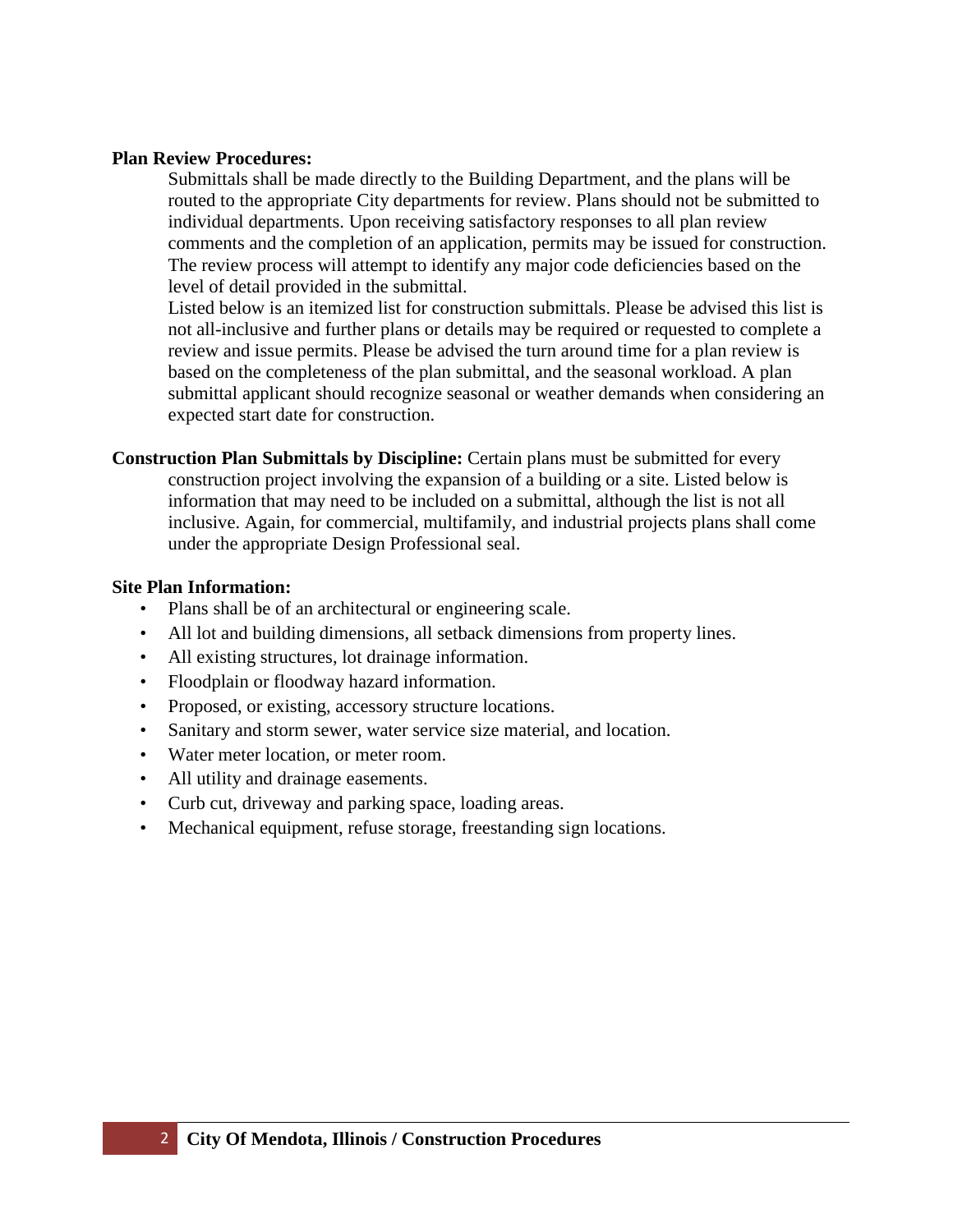### **Plan Review Procedures:**

Submittals shall be made directly to the Building Department, and the plans will be routed to the appropriate City departments for review. Plans should not be submitted to individual departments. Upon receiving satisfactory responses to all plan review comments and the completion of an application, permits may be issued for construction. The review process will attempt to identify any major code deficiencies based on the level of detail provided in the submittal.

Listed below is an itemized list for construction submittals. Please be advised this list is not all-inclusive and further plans or details may be required or requested to complete a review and issue permits. Please be advised the turn around time for a plan review is based on the completeness of the plan submittal, and the seasonal workload. A plan submittal applicant should recognize seasonal or weather demands when considering an expected start date for construction.

**Construction Plan Submittals by Discipline:** Certain plans must be submitted for every construction project involving the expansion of a building or a site. Listed below is information that may need to be included on a submittal, although the list is not all inclusive. Again, for commercial, multifamily, and industrial projects plans shall come under the appropriate Design Professional seal.

## **Site Plan Information:**

- Plans shall be of an architectural or engineering scale.
- All lot and building dimensions, all setback dimensions from property lines.
- All existing structures, lot drainage information.
- Floodplain or floodway hazard information.
- Proposed, or existing, accessory structure locations.
- Sanitary and storm sewer, water service size material, and location.
- Water meter location, or meter room.
- All utility and drainage easements.
- Curb cut, driveway and parking space, loading areas.
- Mechanical equipment, refuse storage, freestanding sign locations.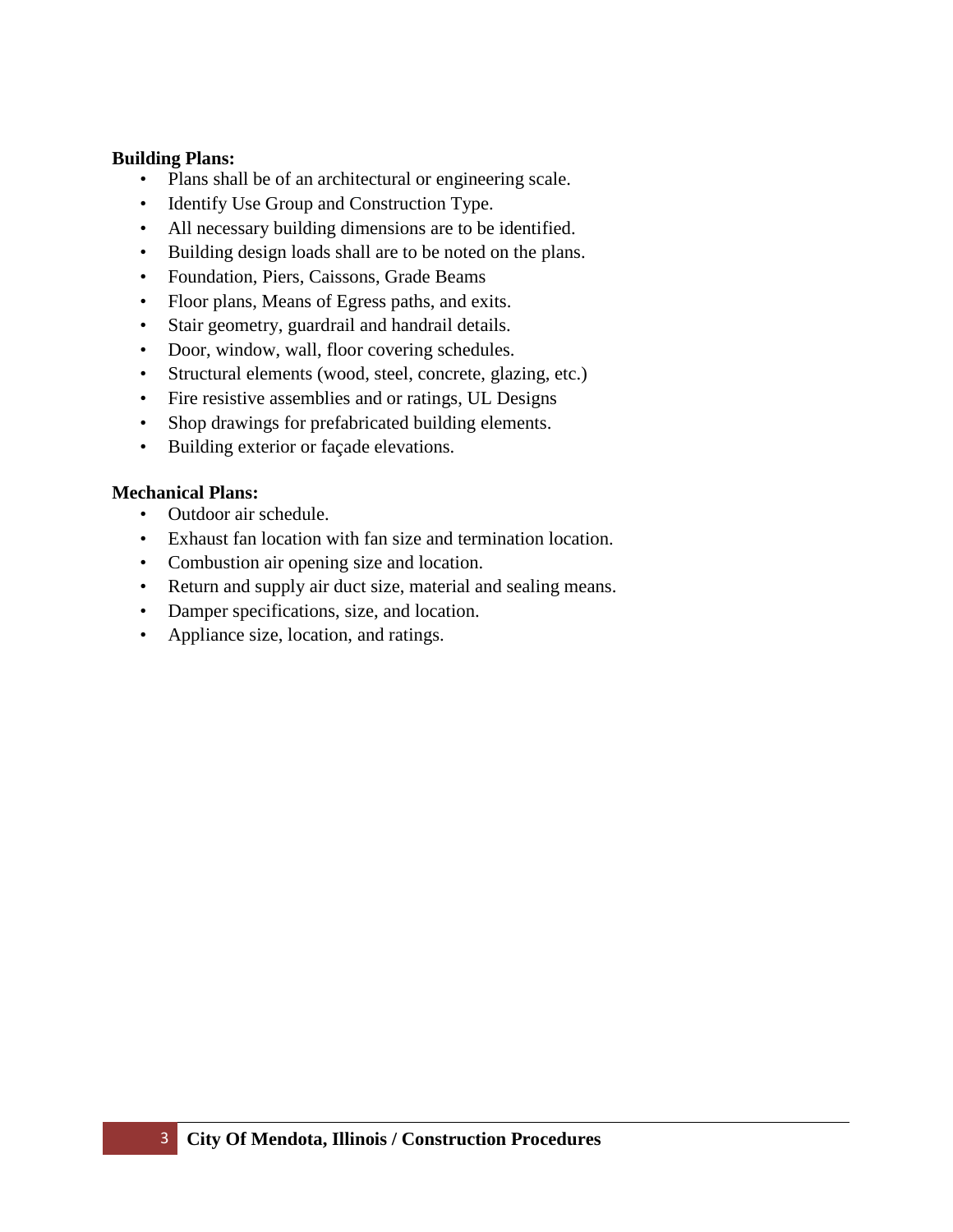## **Building Plans:**

- Plans shall be of an architectural or engineering scale.
- Identify Use Group and Construction Type.
- All necessary building dimensions are to be identified.
- Building design loads shall are to be noted on the plans.
- Foundation, Piers, Caissons, Grade Beams
- Floor plans, Means of Egress paths, and exits.
- Stair geometry, guardrail and handrail details.
- Door, window, wall, floor covering schedules.
- Structural elements (wood, steel, concrete, glazing, etc.)
- Fire resistive assemblies and or ratings, UL Designs
- Shop drawings for prefabricated building elements.
- Building exterior or façade elevations.

## **Mechanical Plans:**

- Outdoor air schedule.
- Exhaust fan location with fan size and termination location.
- Combustion air opening size and location.
- Return and supply air duct size, material and sealing means.
- Damper specifications, size, and location.
- Appliance size, location, and ratings.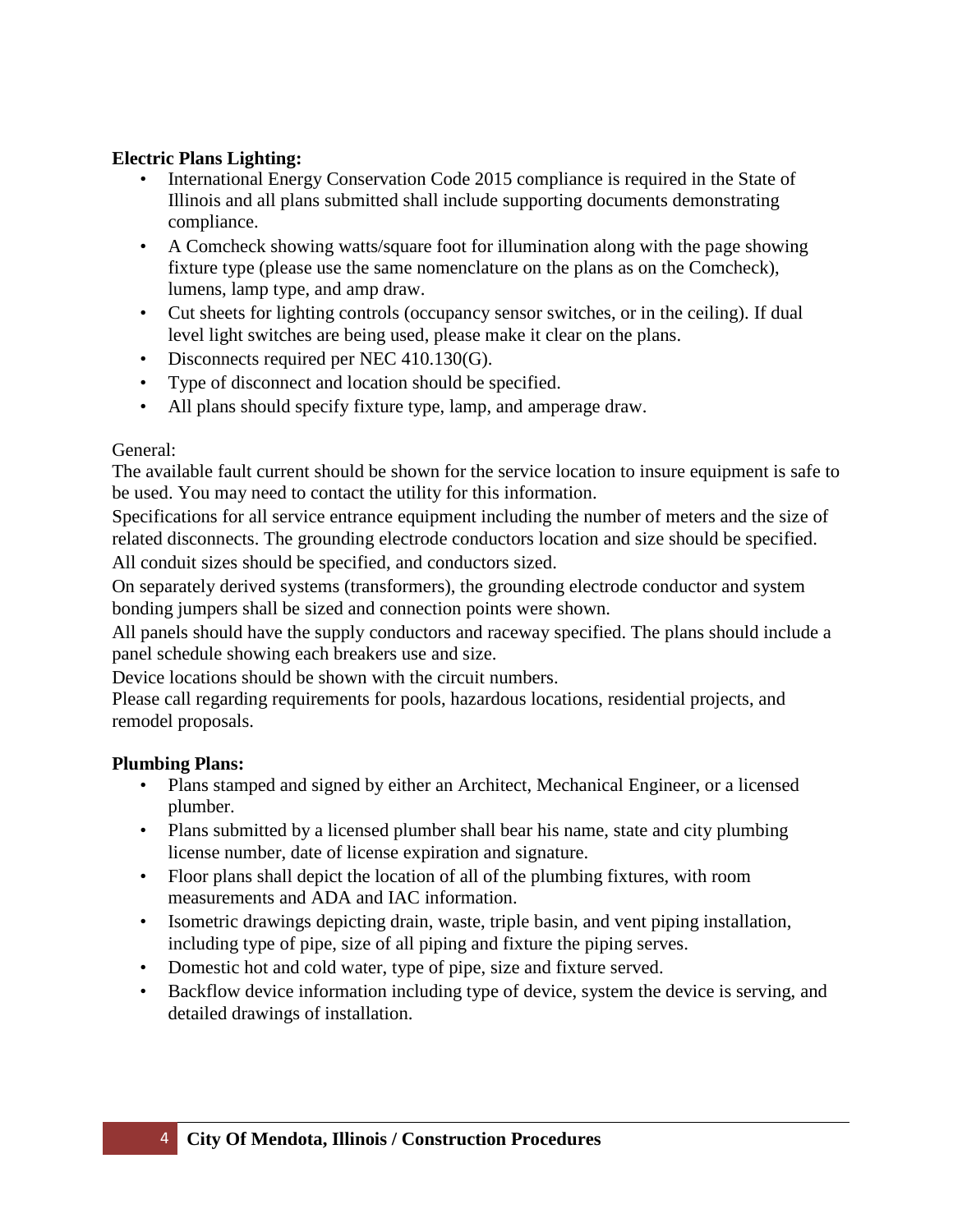# **Electric Plans Lighting:**

- International Energy Conservation Code 2015 compliance is required in the State of Illinois and all plans submitted shall include supporting documents demonstrating compliance.
- A Comcheck showing watts/square foot for illumination along with the page showing fixture type (please use the same nomenclature on the plans as on the Comcheck), lumens, lamp type, and amp draw.
- Cut sheets for lighting controls (occupancy sensor switches, or in the ceiling). If dual level light switches are being used, please make it clear on the plans.
- Disconnects required per NEC 410.130(G).
- Type of disconnect and location should be specified.
- All plans should specify fixture type, lamp, and amperage draw.

# General:

The available fault current should be shown for the service location to insure equipment is safe to be used. You may need to contact the utility for this information.

Specifications for all service entrance equipment including the number of meters and the size of related disconnects. The grounding electrode conductors location and size should be specified. All conduit sizes should be specified, and conductors sized.

On separately derived systems (transformers), the grounding electrode conductor and system bonding jumpers shall be sized and connection points were shown.

All panels should have the supply conductors and raceway specified. The plans should include a panel schedule showing each breakers use and size.

Device locations should be shown with the circuit numbers.

Please call regarding requirements for pools, hazardous locations, residential projects, and remodel proposals.

# **Plumbing Plans:**

- Plans stamped and signed by either an Architect, Mechanical Engineer, or a licensed plumber.
- Plans submitted by a licensed plumber shall bear his name, state and city plumbing license number, date of license expiration and signature.
- Floor plans shall depict the location of all of the plumbing fixtures, with room measurements and ADA and IAC information.
- Isometric drawings depicting drain, waste, triple basin, and vent piping installation, including type of pipe, size of all piping and fixture the piping serves.
- Domestic hot and cold water, type of pipe, size and fixture served.
- Backflow device information including type of device, system the device is serving, and detailed drawings of installation.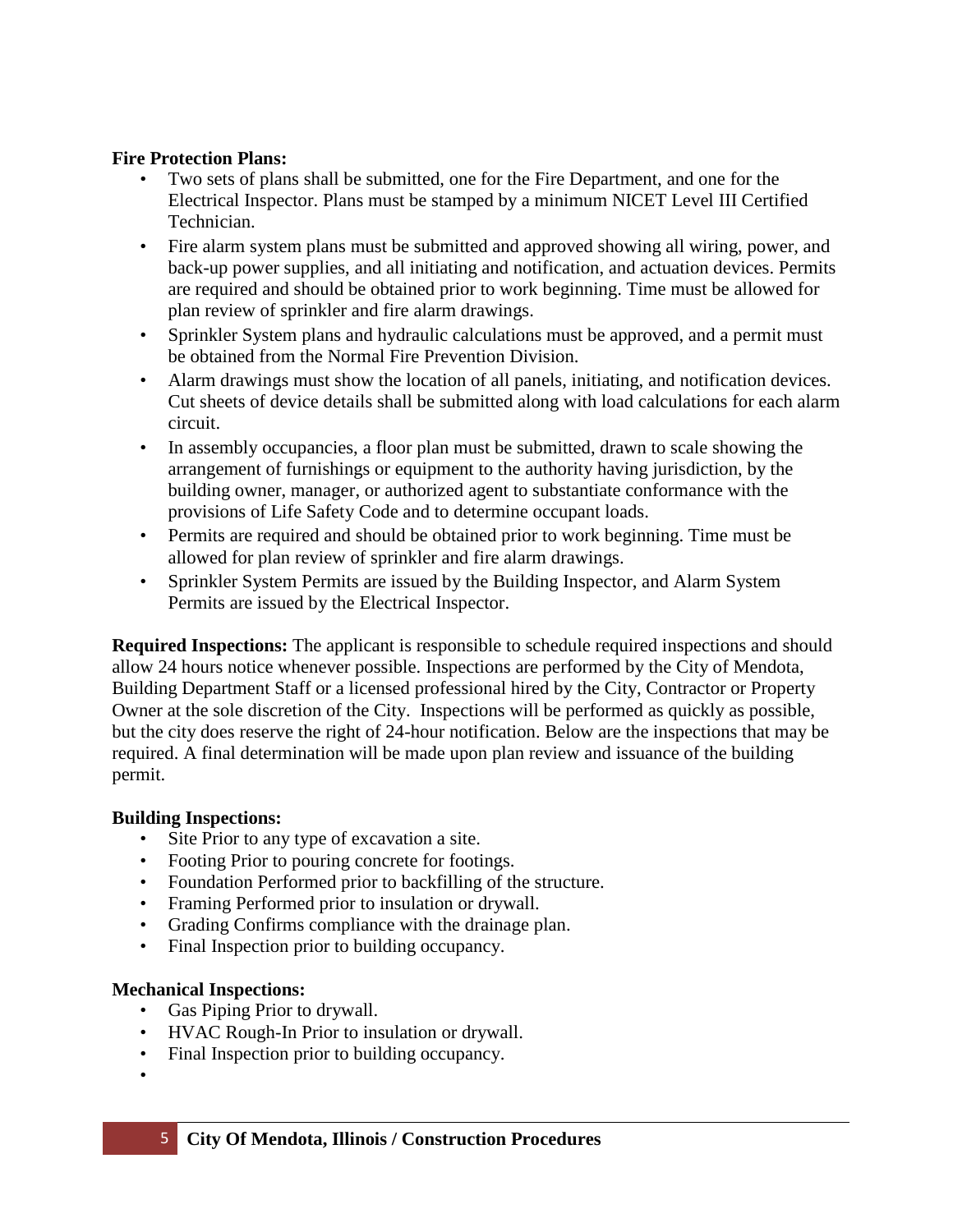## **Fire Protection Plans:**

- Two sets of plans shall be submitted, one for the Fire Department, and one for the Electrical Inspector. Plans must be stamped by a minimum NICET Level III Certified Technician.
- Fire alarm system plans must be submitted and approved showing all wiring, power, and back-up power supplies, and all initiating and notification, and actuation devices. Permits are required and should be obtained prior to work beginning. Time must be allowed for plan review of sprinkler and fire alarm drawings.
- Sprinkler System plans and hydraulic calculations must be approved, and a permit must be obtained from the Normal Fire Prevention Division.
- Alarm drawings must show the location of all panels, initiating, and notification devices. Cut sheets of device details shall be submitted along with load calculations for each alarm circuit.
- In assembly occupancies, a floor plan must be submitted, drawn to scale showing the arrangement of furnishings or equipment to the authority having jurisdiction, by the building owner, manager, or authorized agent to substantiate conformance with the provisions of Life Safety Code and to determine occupant loads.
- Permits are required and should be obtained prior to work beginning. Time must be allowed for plan review of sprinkler and fire alarm drawings.
- Sprinkler System Permits are issued by the Building Inspector, and Alarm System Permits are issued by the Electrical Inspector.

**Required Inspections:** The applicant is responsible to schedule required inspections and should allow 24 hours notice whenever possible. Inspections are performed by the City of Mendota, Building Department Staff or a licensed professional hired by the City, Contractor or Property Owner at the sole discretion of the City. Inspections will be performed as quickly as possible, but the city does reserve the right of 24-hour notification. Below are the inspections that may be required. A final determination will be made upon plan review and issuance of the building permit.

## **Building Inspections:**

- Site Prior to any type of excavation a site.
- Footing Prior to pouring concrete for footings.
- Foundation Performed prior to backfilling of the structure.
- Framing Performed prior to insulation or drywall.
- Grading Confirms compliance with the drainage plan.
- Final Inspection prior to building occupancy.

## **Mechanical Inspections:**

- Gas Piping Prior to drywall.
- HVAC Rough-In Prior to insulation or drywall.
- Final Inspection prior to building occupancy.
- •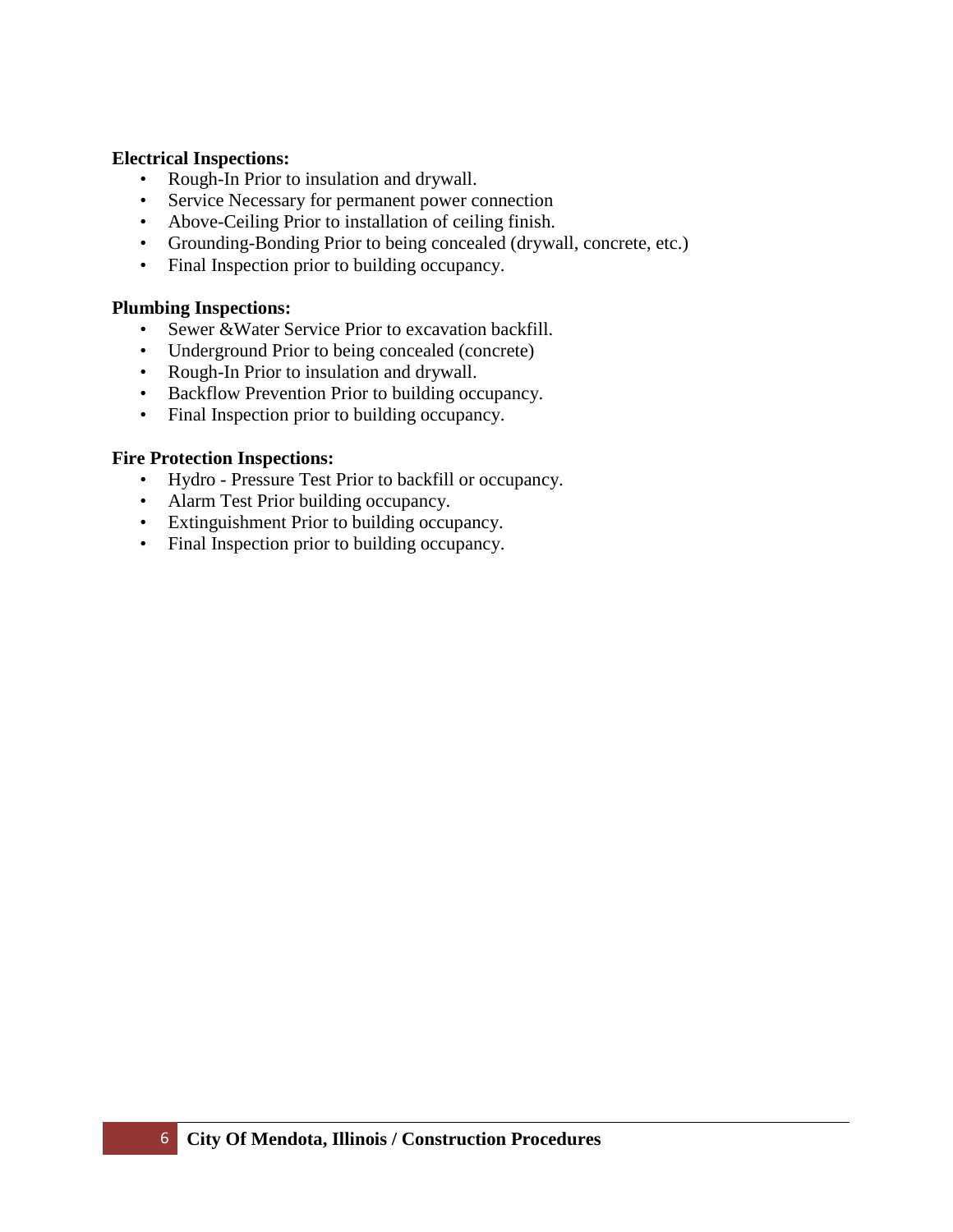## **Electrical Inspections:**

- Rough-In Prior to insulation and drywall.
- Service Necessary for permanent power connection
- Above-Ceiling Prior to installation of ceiling finish.
- Grounding-Bonding Prior to being concealed (drywall, concrete, etc.)
- Final Inspection prior to building occupancy.

### **Plumbing Inspections:**

- Sewer &Water Service Prior to excavation backfill.
- Underground Prior to being concealed (concrete)
- Rough-In Prior to insulation and drywall.
- Backflow Prevention Prior to building occupancy.
- Final Inspection prior to building occupancy.

## **Fire Protection Inspections:**

- Hydro Pressure Test Prior to backfill or occupancy.
- Alarm Test Prior building occupancy.
- Extinguishment Prior to building occupancy.
- Final Inspection prior to building occupancy.